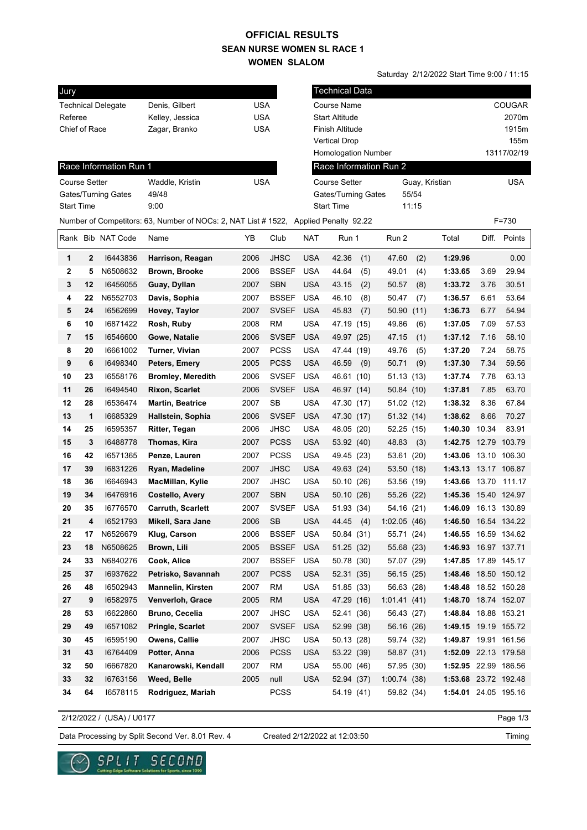## **SEAN NURSE WOMEN SL RACE 1 WOMEN SLALOM OFFICIAL RESULTS**

Saturday 2/12/2022 Start Time 9:00 / 11:15

| Jury                    |              |                           |                                                                                      |            |              |            | <b>Technical Data</b>        |             |       |                      |       |               |
|-------------------------|--------------|---------------------------|--------------------------------------------------------------------------------------|------------|--------------|------------|------------------------------|-------------|-------|----------------------|-------|---------------|
|                         |              | <b>Technical Delegate</b> | Denis, Gilbert                                                                       | <b>USA</b> |              |            | <b>Course Name</b>           |             |       |                      |       | <b>COUGAR</b> |
| Referee                 |              |                           | Kelley, Jessica                                                                      | USA        |              |            | Start Altitude               |             |       |                      |       | 2070m         |
| Chief of Race           |              |                           | Zagar, Branko                                                                        | USA        |              |            | Finish Altitude              |             |       |                      |       | 1915m         |
|                         |              |                           |                                                                                      |            |              |            | <b>Vertical Drop</b>         |             |       |                      |       | 155m          |
|                         |              |                           |                                                                                      |            |              |            | <b>Homologation Number</b>   |             |       |                      |       | 13117/02/19   |
|                         |              | Race Information Run 1    |                                                                                      |            |              |            | Race Information Run 2       |             |       |                      |       |               |
| Course Setter           |              |                           | Waddle, Kristin                                                                      | <b>USA</b> |              |            | <b>Course Setter</b>         |             |       | Guay, Kristian       |       | <b>USA</b>    |
| Gates/Turning Gates     |              |                           | 49/48                                                                                |            |              |            | 55/54<br>Gates/Turning Gates |             |       |                      |       |               |
| <b>Start Time</b>       |              |                           | 9:00                                                                                 |            |              |            | <b>Start Time</b>            |             | 11:15 |                      |       |               |
|                         |              |                           | Number of Competitors: 63, Number of NOCs: 2, NAT List # 1522, Applied Penalty 92.22 |            |              |            |                              |             |       |                      |       | $F = 730$     |
|                         |              | Rank Bib NAT Code         | Name                                                                                 | ΥB         | Club         | <b>NAT</b> | Run 1                        | Run 2       |       | Total                | Diff. | Points        |
| 1                       | $\mathbf{2}$ | 16443836                  | Harrison, Reagan                                                                     | 2006       | <b>JHSC</b>  | <b>USA</b> | 42.36<br>(1)                 | 47.60       | (2)   | 1:29.96              |       | 0.00          |
| 2                       | 5            | N6508632                  | Brown, Brooke                                                                        | 2006       | <b>BSSEF</b> | <b>USA</b> | 44.64<br>(5)                 | 49.01       | (4)   | 1:33.65              | 3.69  | 29.94         |
| 3                       | 12           | 16456055                  | Guay, Dyllan                                                                         | 2007       | <b>SBN</b>   | <b>USA</b> | 43.15<br>(2)                 | 50.57       | (8)   | 1:33.72              | 3.76  | 30.51         |
| 4                       | 22           | N6552703                  | Davis, Sophia                                                                        | 2007       | <b>BSSEF</b> | <b>USA</b> | 46.10<br>(8)                 | 50.47       | (7)   | 1:36.57              | 6.61  | 53.64         |
| 5                       | 24           | 16562699                  | Hovey, Taylor                                                                        | 2007       | <b>SVSEF</b> | <b>USA</b> | 45.83<br>(7)                 | 50.90       | (11)  | 1:36.73              | 6.77  | 54.94         |
| 6                       | 10           | 16871422                  | Rosh, Ruby                                                                           | 2008       | <b>RM</b>    | <b>USA</b> | 47.19 (15)                   | 49.86       | (6)   | 1:37.05              | 7.09  | 57.53         |
| $\overline{\mathbf{r}}$ | 15           | 16546600                  | Gowe, Natalie                                                                        | 2006       | <b>SVSEF</b> | <b>USA</b> | 49.97 (25)                   | 47.15       | (1)   | 1:37.12              | 7.16  | 58.10         |
| 8                       | 20           | 16661002                  | Turner, Vivian                                                                       | 2007       | <b>PCSS</b>  | <b>USA</b> | 47.44 (19)                   | 49.76       | (5)   | 1:37.20              | 7.24  | 58.75         |
| 9                       | 6            | 16498340                  | Peters, Emery                                                                        | 2005       | <b>PCSS</b>  | <b>USA</b> | 46.59<br>(9)                 | 50.71       | (9)   | 1:37.30              | 7.34  | 59.56         |
| 10                      | 23           | 16558176                  | <b>Bromley, Meredith</b>                                                             | 2006       | <b>SVSEF</b> | <b>USA</b> | 46.61 (10)                   | 51.13(13)   |       | 1:37.74              | 7.78  | 63.13         |
| 11                      | 26           | 16494540                  | <b>Rixon, Scarlet</b>                                                                | 2006       | <b>SVSEF</b> | <b>USA</b> | 46.97 (14)                   | 50.84 (10)  |       | 1:37.81              | 7.85  | 63.70         |
| 12                      | 28           | 16536474                  | <b>Martin, Beatrice</b>                                                              | 2007       | <b>SB</b>    | <b>USA</b> | 47.30 (17)                   | 51.02 (12)  |       | 1:38.32              | 8.36  | 67.84         |
| 13                      | 1            | 16685329                  | Hallstein, Sophia                                                                    | 2006       | <b>SVSEF</b> | <b>USA</b> | 47.30 (17)                   | 51.32 (14)  |       | 1:38.62              | 8.66  | 70.27         |
| 14                      | 25           | 16595357                  | <b>Ritter, Tegan</b>                                                                 | 2006       | <b>JHSC</b>  | <b>USA</b> | 48.05 (20)                   | 52.25 (15)  |       | 1:40.30              | 10.34 | 83.91         |
| 15                      | 3            | 16488778                  | Thomas, Kira                                                                         | 2007       | <b>PCSS</b>  | <b>USA</b> | 53.92 (40)                   | 48.83       | (3)   | 1:42.75 12.79 103.79 |       |               |
| 16                      | 42           | 16571365                  | Penze, Lauren                                                                        | 2007       | <b>PCSS</b>  | <b>USA</b> | 49.45 (23)                   | 53.61       | (20)  | 1:43.06              |       | 13.10 106.30  |
| 17                      | 39           | 16831226                  | Ryan, Madeline                                                                       | 2007       | <b>JHSC</b>  | <b>USA</b> | 49.63 (24)                   | 53.50 (18)  |       | 1:43.13              |       | 13.17 106.87  |
| 18                      | 36           | 16646943                  | MacMillan, Kylie                                                                     | 2007       | <b>JHSC</b>  | <b>USA</b> | 50.10 (26)                   | 53.56 (19)  |       | 1:43.66              | 13.70 | 111.17        |
| 19                      | 34           | 16476916                  | <b>Costello, Avery</b>                                                               | 2007       | <b>SBN</b>   | <b>USA</b> | 50.10 (26)                   | 55.26 (22)  |       | 1:45.36              |       | 15.40 124.97  |
| 20                      | 35           | 16776570                  | <b>Carruth, Scarlett</b>                                                             | 2007       | <b>SVSEF</b> | <b>USA</b> | 51.93 (34)                   | 54.16 (21)  |       | 1:46.09              |       | 16.13 130.89  |
| 21                      | 4            | 16521793                  | Mikell, Sara Jane                                                                    | 2006       | <b>SB</b>    | <b>USA</b> | 44.45<br>(4)                 | 1:02.05(46) |       | 1:46.50              |       | 16.54 134.22  |
| 22                      | 17           | N6526679                  | Klug, Carson                                                                         | 2006       | BSSEF USA    |            | 50.84 (31)                   | 55.71 (24)  |       | 1:46.55 16.59 134.62 |       |               |
| 23                      | 18           | N6508625                  | Brown, Lili                                                                          | 2005       | <b>BSSEF</b> | <b>USA</b> | 51.25 (32)                   | 55.68 (23)  |       | 1:46.93 16.97 137.71 |       |               |
| 24                      | 33           | N6840276                  | Cook, Alice                                                                          | 2007       | <b>BSSEF</b> | <b>USA</b> | 50.78 (30)                   | 57.07 (29)  |       | 1:47.85 17.89 145.17 |       |               |
| 25                      | 37           | 16937622                  | Petrisko, Savannah                                                                   | 2007       | <b>PCSS</b>  | <b>USA</b> | 52.31 (35)                   | 56.15 (25)  |       | 1:48.46 18.50 150.12 |       |               |
| 26                      | 48           | 16502943                  | <b>Mannelin, Kirsten</b>                                                             | 2007       | <b>RM</b>    | <b>USA</b> | 51.85 (33)                   | 56.63 (28)  |       | 1:48.48 18.52 150.28 |       |               |
| 27                      | 9            | 16582975                  | Venverloh, Grace                                                                     | 2005       | <b>RM</b>    | <b>USA</b> | 47.29 (16)                   | 1:01.41(41) |       | 1:48.70 18.74 152.07 |       |               |
| 28                      | 53           | 16622860                  | <b>Bruno, Cecelia</b>                                                                | 2007       | <b>JHSC</b>  | <b>USA</b> | 52.41 (36)                   | 56.43 (27)  |       | 1:48.84 18.88 153.21 |       |               |
| 29                      | 49           | 16571082                  | Pringle, Scarlet                                                                     | 2007       | <b>SVSEF</b> | <b>USA</b> | 52.99 (38)                   | 56.16 (26)  |       | 1:49.15 19.19 155.72 |       |               |
| 30                      | 45           | 16595190                  | Owens, Callie                                                                        | 2007       | <b>JHSC</b>  | <b>USA</b> | 50.13 (28)                   | 59.74 (32)  |       | 1:49.87 19.91 161.56 |       |               |
| 31                      | 43           | 16764409                  | Potter, Anna                                                                         | 2006       | <b>PCSS</b>  | <b>USA</b> | 53.22 (39)                   | 58.87 (31)  |       | 1:52.09 22.13 179.58 |       |               |
| 32                      | 50           | 16667820                  | Kanarowski, Kendall                                                                  | 2007       | <b>RM</b>    | <b>USA</b> | 55.00 (46)                   | 57.95 (30)  |       | 1:52.95 22.99 186.56 |       |               |
| 33                      | 32           | 16763156                  | Weed, Belle                                                                          | 2005       | null         | <b>USA</b> | 52.94 (37)                   | 1:00.74(38) |       | 1:53.68 23.72 192.48 |       |               |
| 34                      | 64           | 16578115                  | Rodriguez, Mariah                                                                    |            | <b>PCSS</b>  |            | 54.19 (41)                   | 59.82 (34)  |       | 1:54.01 24.05 195.16 |       |               |

2/12/2022 / (USA) / U0177

Page 1/3

Data Processing by Split Second Ver. 8.01 Rev. 4 Created 2/12/2022 at 12:03:50

Created 2/12/2022 at 12:03:50

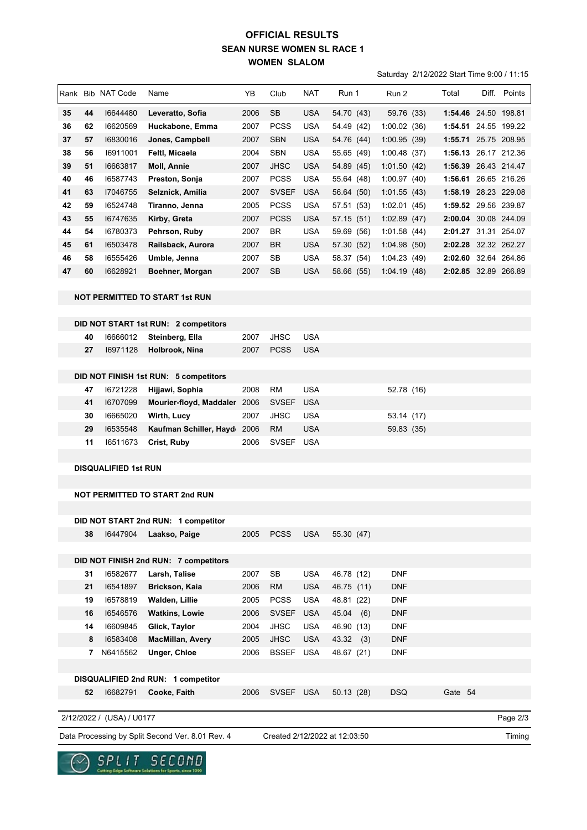## **SEAN NURSE WOMEN SL RACE 1 WOMEN SLALOM OFFICIAL RESULTS**

Saturday 2/12/2022 Start Time 9:00 / 11:15

|    |    |                             |                                                  |      |              |            |                               |             | 0 at the state of the control of the state of the state of the state of the state of the state of the state of |  |                      |
|----|----|-----------------------------|--------------------------------------------------|------|--------------|------------|-------------------------------|-------------|----------------------------------------------------------------------------------------------------------------|--|----------------------|
|    |    | Rank Bib NAT Code           | Name                                             | YB   | Club         | NAT        | Run 1                         | Run 2       | Total                                                                                                          |  | Diff. Points         |
| 35 | 44 | 16644480                    | Leveratto, Sofia                                 | 2006 | <b>SB</b>    | <b>USA</b> | 54.70 (43)                    | 59.76 (33)  |                                                                                                                |  | 1:54.46 24.50 198.81 |
| 36 | 62 | 16620569                    | Huckabone, Emma                                  | 2007 | <b>PCSS</b>  | <b>USA</b> | 54.49 (42)                    | 1:00.02(36) |                                                                                                                |  | 1:54.51 24.55 199.22 |
| 37 | 57 | 16830016                    | Jones, Campbell                                  | 2007 | <b>SBN</b>   | <b>USA</b> | 54.76 (44)                    | 1:00.95(39) |                                                                                                                |  | 1:55.71 25.75 208.95 |
| 38 | 56 | 16911001                    | Feltl, Micaela                                   | 2004 | <b>SBN</b>   | <b>USA</b> | 55.65 (49)                    | 1:00.48(37) |                                                                                                                |  | 1:56.13 26.17 212.36 |
| 39 | 51 | 16663817                    | Moll, Annie                                      | 2007 | <b>JHSC</b>  | <b>USA</b> | 54.89 (45)                    | 1:01.50(42) |                                                                                                                |  | 1:56.39 26.43 214.47 |
| 40 | 46 | 16587743                    | Preston, Sonja                                   | 2007 | <b>PCSS</b>  | <b>USA</b> | 55.64 (48)                    | 1:00.97(40) |                                                                                                                |  | 1:56.61 26.65 216.26 |
| 41 | 63 | 17046755                    | Selznick, Amilia                                 | 2007 | <b>SVSEF</b> | <b>USA</b> | 56.64 (50)                    | 1:01.55(43) |                                                                                                                |  | 1:58.19 28.23 229.08 |
| 42 | 59 | 16524748                    | Tiranno, Jenna                                   | 2005 | <b>PCSS</b>  | <b>USA</b> | 57.51 (53)                    | 1:02.01(45) |                                                                                                                |  | 1:59.52 29.56 239.87 |
| 43 | 55 | 16747635                    | Kirby, Greta                                     | 2007 | <b>PCSS</b>  | <b>USA</b> | 57.15 (51)                    | 1:02.89(47) |                                                                                                                |  | 2:00.04 30.08 244.09 |
| 44 | 54 | 16780373                    | Pehrson, Ruby                                    | 2007 | <b>BR</b>    | <b>USA</b> | 59.69 (56)                    | 1:01.58(44) |                                                                                                                |  | 2:01.27 31.31 254.07 |
| 45 | 61 | 16503478                    | Railsback, Aurora                                | 2007 | <b>BR</b>    | <b>USA</b> | 57.30 (52)                    | 1:04.98(50) |                                                                                                                |  | 2:02.28 32.32 262.27 |
| 46 | 58 | 16555426                    | Umble, Jenna                                     | 2007 | SB           | <b>USA</b> | 58.37 (54)                    | 1:04.23(49) |                                                                                                                |  | 2:02.60 32.64 264.86 |
| 47 | 60 | 16628921                    | Boehner, Morgan                                  | 2007 | SB           | <b>USA</b> | 58.66 (55)                    | 1:04.19(48) |                                                                                                                |  | 2:02.85 32.89 266.89 |
|    |    |                             | NOT PERMITTED TO START 1st RUN                   |      |              |            |                               |             |                                                                                                                |  |                      |
|    |    |                             | DID NOT START 1st RUN: 2 competitors             |      |              |            |                               |             |                                                                                                                |  |                      |
|    | 40 | 16666012                    | Steinberg, Ella                                  | 2007 | <b>JHSC</b>  | <b>USA</b> |                               |             |                                                                                                                |  |                      |
|    | 27 | 16971128                    | Holbrook, Nina                                   | 2007 | <b>PCSS</b>  | <b>USA</b> |                               |             |                                                                                                                |  |                      |
|    |    |                             |                                                  |      |              |            |                               |             |                                                                                                                |  |                      |
|    |    |                             | DID NOT FINISH 1st RUN: 5 competitors            |      |              |            |                               |             |                                                                                                                |  |                      |
|    | 47 | 16721228                    | Hijjawi, Sophia                                  | 2008 | <b>RM</b>    | <b>USA</b> |                               | 52.78 (16)  |                                                                                                                |  |                      |
|    | 41 | 16707099                    | Mourier-floyd, Maddaler 2006                     |      | <b>SVSEF</b> | <b>USA</b> |                               |             |                                                                                                                |  |                      |
|    | 30 | 16665020                    | Wirth, Lucy                                      | 2007 | JHSC         | USA        |                               | 53.14 (17)  |                                                                                                                |  |                      |
|    | 29 | 16535548                    | Kaufman Schiller, Hayd 2006                      |      | <b>RM</b>    | <b>USA</b> |                               | 59.83 (35)  |                                                                                                                |  |                      |
|    | 11 | 16511673                    | Crist, Ruby                                      | 2006 | <b>SVSEF</b> | <b>USA</b> |                               |             |                                                                                                                |  |                      |
|    |    |                             |                                                  |      |              |            |                               |             |                                                                                                                |  |                      |
|    |    | <b>DISQUALIFIED 1st RUN</b> |                                                  |      |              |            |                               |             |                                                                                                                |  |                      |
|    |    |                             |                                                  |      |              |            |                               |             |                                                                                                                |  |                      |
|    |    |                             | <b>NOT PERMITTED TO START 2nd RUN</b>            |      |              |            |                               |             |                                                                                                                |  |                      |
|    |    |                             |                                                  |      |              |            |                               |             |                                                                                                                |  |                      |
|    |    |                             | DID NOT START 2nd RUN: 1 competitor              |      |              |            |                               |             |                                                                                                                |  |                      |
|    | 38 | 16447904                    | Laakso, Paige                                    | 2005 | <b>PCSS</b>  | <b>USA</b> | 55.30 (47)                    |             |                                                                                                                |  |                      |
|    |    |                             | DID NOT FINISH 2nd RUN: 7 competitors            |      |              |            |                               |             |                                                                                                                |  |                      |
|    | 31 | 16582677                    | Larsh, Talise                                    | 2007 | SB           | <b>USA</b> | 46.78 (12)                    | DNF         |                                                                                                                |  |                      |
|    | 21 | 16541897                    | Brickson, Kaia                                   | 2006 | <b>RM</b>    | <b>USA</b> | 46.75 (11)                    | <b>DNF</b>  |                                                                                                                |  |                      |
|    | 19 | 16578819                    | Walden, Lillie                                   | 2005 | <b>PCSS</b>  | <b>USA</b> | 48.81 (22)                    | <b>DNF</b>  |                                                                                                                |  |                      |
|    | 16 | 16546576                    | <b>Watkins, Lowie</b>                            | 2006 | <b>SVSEF</b> | <b>USA</b> | 45.04(6)                      | <b>DNF</b>  |                                                                                                                |  |                      |
|    | 14 | 16609845                    | Glick, Taylor                                    | 2004 | <b>JHSC</b>  | <b>USA</b> | 46.90 (13)                    | <b>DNF</b>  |                                                                                                                |  |                      |
|    | 8  | 16583408                    | MacMillan, Avery                                 | 2005 | <b>JHSC</b>  | <b>USA</b> | 43.32(3)                      | <b>DNF</b>  |                                                                                                                |  |                      |
|    | 7  | N6415562                    | Unger, Chloe                                     | 2006 | <b>BSSEF</b> | <b>USA</b> | 48.67 (21)                    | <b>DNF</b>  |                                                                                                                |  |                      |
|    |    |                             |                                                  |      |              |            |                               |             |                                                                                                                |  |                      |
|    |    |                             | DISQUALIFIED 2nd RUN: 1 competitor               |      |              |            |                               |             |                                                                                                                |  |                      |
|    | 52 | 16682791                    | Cooke, Faith                                     | 2006 | SVSEF USA    |            | 50.13 (28)                    | <b>DSQ</b>  | Gate 54                                                                                                        |  |                      |
|    |    |                             |                                                  |      |              |            |                               |             |                                                                                                                |  |                      |
|    |    | 2/12/2022 / (USA) / U0177   |                                                  |      |              |            |                               |             |                                                                                                                |  | Page 2/3             |
|    |    |                             | Data Processing by Split Second Ver. 8.01 Rev. 4 |      |              |            | Created 2/12/2022 at 12:03:50 |             |                                                                                                                |  | Timing               |